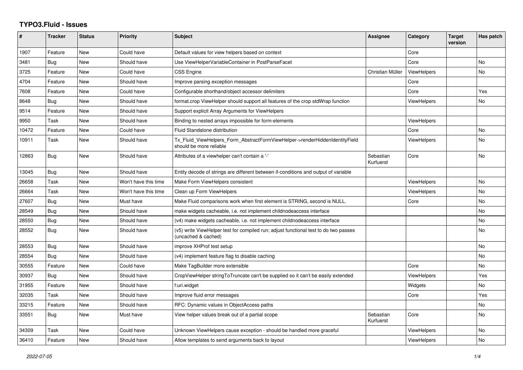## **TYPO3.Fluid - Issues**

| #     | <b>Tracker</b> | <b>Status</b> | <b>Priority</b>      | <b>Subject</b>                                                                                              | Assignee               | Category           | <b>Target</b><br>version | Has patch      |
|-------|----------------|---------------|----------------------|-------------------------------------------------------------------------------------------------------------|------------------------|--------------------|--------------------------|----------------|
| 1907  | Feature        | New           | Could have           | Default values for view helpers based on context                                                            |                        | Core               |                          |                |
| 3481  | Bug            | New           | Should have          | Use ViewHelperVariableContainer in PostParseFacet                                                           |                        | Core               |                          | N <sub>o</sub> |
| 3725  | Feature        | New           | Could have           | <b>CSS Engine</b>                                                                                           | Christian Müller       | <b>ViewHelpers</b> |                          | No             |
| 4704  | Feature        | New           | Should have          | Improve parsing exception messages                                                                          |                        | Core               |                          |                |
| 7608  | Feature        | New           | Could have           | Configurable shorthand/object accessor delimiters                                                           |                        | Core               |                          | Yes            |
| 8648  | Bug            | New           | Should have          | format.crop ViewHelper should support all features of the crop stdWrap function                             |                        | <b>ViewHelpers</b> |                          | No             |
| 9514  | Feature        | <b>New</b>    | Should have          | Support explicit Array Arguments for ViewHelpers                                                            |                        |                    |                          |                |
| 9950  | Task           | New           | Should have          | Binding to nested arrays impossible for form-elements                                                       |                        | <b>ViewHelpers</b> |                          |                |
| 10472 | Feature        | New           | Could have           | Fluid Standalone distribution                                                                               |                        | Core               |                          | <b>No</b>      |
| 10911 | Task           | New           | Should have          | Tx Fluid ViewHelpers Form AbstractFormViewHelper->renderHiddenIdentityField<br>should be more reliable      |                        | <b>ViewHelpers</b> |                          | No             |
| 12863 | <b>Bug</b>     | New           | Should have          | Attributes of a viewhelper can't contain a '-'                                                              | Sebastian<br>Kurfuerst | Core               |                          | <b>No</b>      |
| 13045 | <b>Bug</b>     | New           | Should have          | Entity decode of strings are different between if-conditions and output of variable                         |                        |                    |                          |                |
| 26658 | Task           | New           | Won't have this time | Make Form ViewHelpers consistent                                                                            |                        | <b>ViewHelpers</b> |                          | No             |
| 26664 | Task           | New           | Won't have this time | Clean up Form ViewHelpers                                                                                   |                        | <b>ViewHelpers</b> |                          | <b>No</b>      |
| 27607 | Bug            | New           | Must have            | Make Fluid comparisons work when first element is STRING, second is NULL.                                   |                        | Core               |                          | No             |
| 28549 | Bug            | New           | Should have          | make widgets cacheable, i.e. not implement childnodeaccess interface                                        |                        |                    |                          | No             |
| 28550 | Bug            | New           | Should have          | (v4) make widgets cacheable, i.e. not implement childnodeaccess interface                                   |                        |                    |                          | No             |
| 28552 | Bug            | New           | Should have          | (v5) write ViewHelper test for compiled run; adjust functional test to do two passes<br>(uncached & cached) |                        |                    |                          | <b>No</b>      |
| 28553 | Bug            | New           | Should have          | improve XHProf test setup                                                                                   |                        |                    |                          | <b>No</b>      |
| 28554 | Bug            | <b>New</b>    | Should have          | (v4) implement feature flag to disable caching                                                              |                        |                    |                          | <b>No</b>      |
| 30555 | Feature        | New           | Could have           | Make TagBuilder more extensible                                                                             |                        | Core               |                          | <b>No</b>      |
| 30937 | <b>Bug</b>     | New           | Should have          | CropViewHelper stringToTruncate can't be supplied so it can't be easily extended                            |                        | ViewHelpers        |                          | Yes            |
| 31955 | Feature        | <b>New</b>    | Should have          | f:uri.widget                                                                                                |                        | Widgets            |                          | <b>No</b>      |
| 32035 | Task           | New           | Should have          | Improve fluid error messages                                                                                |                        | Core               |                          | Yes            |
| 33215 | Feature        | New           | Should have          | RFC: Dynamic values in ObjectAccess paths                                                                   |                        |                    |                          | No             |
| 33551 | Bug            | New           | Must have            | View helper values break out of a partial scope                                                             | Sebastian<br>Kurfuerst | Core               |                          | No             |
| 34309 | Task           | New           | Could have           | Unknown ViewHelpers cause exception - should be handled more graceful                                       |                        | <b>ViewHelpers</b> |                          | No             |
| 36410 | Feature        | New           | Should have          | Allow templates to send arguments back to layout                                                            |                        | <b>ViewHelpers</b> |                          | No             |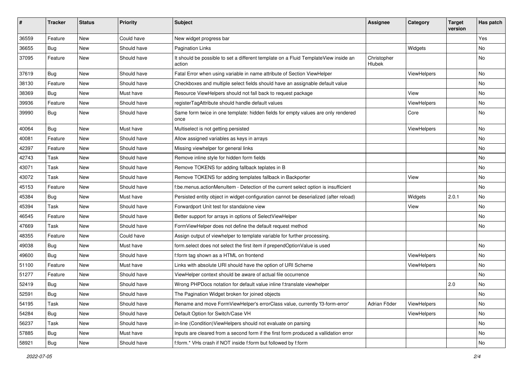| #     | <b>Tracker</b> | <b>Status</b> | <b>Priority</b> | Subject                                                                                       | <b>Assignee</b>       | Category    | <b>Target</b><br>version | Has patch |
|-------|----------------|---------------|-----------------|-----------------------------------------------------------------------------------------------|-----------------------|-------------|--------------------------|-----------|
| 36559 | Feature        | <b>New</b>    | Could have      | New widget progress bar                                                                       |                       |             |                          | Yes       |
| 36655 | Bug            | New           | Should have     | <b>Pagination Links</b>                                                                       |                       | Widgets     |                          | No        |
| 37095 | Feature        | New           | Should have     | It should be possible to set a different template on a Fluid TemplateView inside an<br>action | Christopher<br>Hlubek |             |                          | No        |
| 37619 | Bug            | New           | Should have     | Fatal Error when using variable in name attribute of Section ViewHelper                       |                       | ViewHelpers |                          | <b>No</b> |
| 38130 | Feature        | New           | Should have     | Checkboxes and multiple select fields should have an assignable default value                 |                       |             |                          | No        |
| 38369 | Bug            | New           | Must have       | Resource ViewHelpers should not fall back to request package                                  |                       | View        |                          | No        |
| 39936 | Feature        | New           | Should have     | registerTagAttribute should handle default values                                             |                       | ViewHelpers |                          | No        |
| 39990 | Bug            | New           | Should have     | Same form twice in one template: hidden fields for empty values are only rendered<br>once     |                       | Core        |                          | No        |
| 40064 | Bug            | New           | Must have       | Multiselect is not getting persisted                                                          |                       | ViewHelpers |                          | No        |
| 40081 | Feature        | <b>New</b>    | Should have     | Allow assigned variables as keys in arrays                                                    |                       |             |                          | No        |
| 42397 | Feature        | New           | Should have     | Missing viewhelper for general links                                                          |                       |             |                          | No        |
| 42743 | Task           | <b>New</b>    | Should have     | Remove inline style for hidden form fields                                                    |                       |             |                          | <b>No</b> |
| 43071 | Task           | New           | Should have     | Remove TOKENS for adding fallback teplates in B                                               |                       |             |                          | No        |
| 43072 | Task           | New           | Should have     | Remove TOKENS for adding templates fallback in Backporter                                     |                       | View        |                          | No        |
| 45153 | Feature        | <b>New</b>    | Should have     | f:be.menus.actionMenuItem - Detection of the current select option is insufficient            |                       |             |                          | No        |
| 45384 | Bug            | New           | Must have       | Persisted entity object in widget-configuration cannot be deserialized (after reload)         |                       | Widgets     | 2.0.1                    | No        |
| 45394 | Task           | <b>New</b>    | Should have     | Forwardport Unit test for standalone view                                                     |                       | View        |                          | No        |
| 46545 | Feature        | New           | Should have     | Better support for arrays in options of SelectViewHelper                                      |                       |             |                          | No        |
| 47669 | Task           | New           | Should have     | FormViewHelper does not define the default request method                                     |                       |             |                          | No        |
| 48355 | Feature        | New           | Could have      | Assign output of viewhelper to template variable for further processing.                      |                       |             |                          |           |
| 49038 | Bug            | New           | Must have       | form.select does not select the first item if prependOptionValue is used                      |                       |             |                          | <b>No</b> |
| 49600 | Bug            | New           | Should have     | f:form tag shown as a HTML on frontend                                                        |                       | ViewHelpers |                          | No        |
| 51100 | Feature        | New           | Must have       | Links with absolute URI should have the option of URI Scheme                                  |                       | ViewHelpers |                          | No        |
| 51277 | Feature        | New           | Should have     | ViewHelper context should be aware of actual file occurrence                                  |                       |             |                          | No        |
| 52419 | Bug            | New           | Should have     | Wrong PHPDocs notation for default value inline f:translate viewhelper                        |                       |             | 2.0                      | No        |
| 52591 | Bug            | New           | Should have     | The Pagination Widget broken for joined objects                                               |                       |             |                          | No        |
| 54195 | Task           | New           | Should have     | Rename and move FormViewHelper's errorClass value, currently 'f3-form-error'                  | Adrian Föder          | ViewHelpers |                          | No        |
| 54284 | Bug            | New           | Should have     | Default Option for Switch/Case VH                                                             |                       | ViewHelpers |                          | No        |
| 56237 | Task           | New           | Should have     | in-line (Condition) View Helpers should not evaluate on parsing                               |                       |             |                          | No        |
| 57885 | Bug            | New           | Must have       | Inputs are cleared from a second form if the first form produced a vallidation error          |                       |             |                          | No        |
| 58921 | Bug            | New           | Should have     | f:form.* VHs crash if NOT inside f:form but followed by f:form                                |                       |             |                          | No        |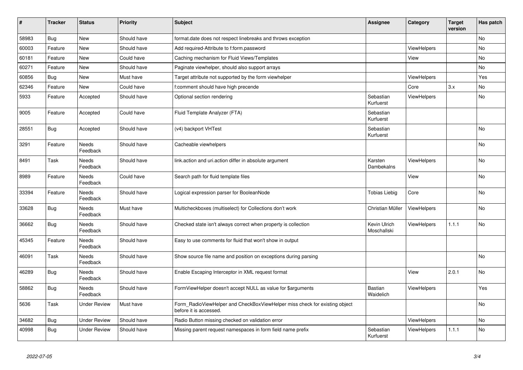| #     | <b>Tracker</b> | <b>Status</b>            | <b>Priority</b> | <b>Subject</b>                                                                                       | <b>Assignee</b>             | Category           | <b>Target</b><br>version | Has patch |
|-------|----------------|--------------------------|-----------------|------------------------------------------------------------------------------------------------------|-----------------------------|--------------------|--------------------------|-----------|
| 58983 | <b>Bug</b>     | New                      | Should have     | format.date does not respect linebreaks and throws exception                                         |                             |                    |                          | <b>No</b> |
| 60003 | Feature        | New                      | Should have     | Add required-Attribute to f:form.password                                                            |                             | <b>ViewHelpers</b> |                          | <b>No</b> |
| 60181 | Feature        | New                      | Could have      | Caching mechanism for Fluid Views/Templates                                                          |                             | View               |                          | <b>No</b> |
| 60271 | Feature        | New                      | Should have     | Paginate viewhelper, should also support arrays                                                      |                             |                    |                          | No        |
| 60856 | Bug            | New                      | Must have       | Target attribute not supported by the form viewhelper                                                |                             | <b>ViewHelpers</b> |                          | Yes       |
| 62346 | Feature        | New                      | Could have      | f:comment should have high precende                                                                  |                             | Core               | 3.x                      | <b>No</b> |
| 5933  | Feature        | Accepted                 | Should have     | Optional section rendering                                                                           | Sebastian<br>Kurfuerst      | ViewHelpers        |                          | No        |
| 9005  | Feature        | Accepted                 | Could have      | Fluid Template Analyzer (FTA)                                                                        | Sebastian<br>Kurfuerst      |                    |                          |           |
| 28551 | <b>Bug</b>     | Accepted                 | Should have     | (v4) backport VHTest                                                                                 | Sebastian<br>Kurfuerst      |                    |                          | No        |
| 3291  | Feature        | Needs<br>Feedback        | Should have     | Cacheable viewhelpers                                                                                |                             |                    |                          | No        |
| 8491  | Task           | Needs<br>Feedback        | Should have     | link.action and uri.action differ in absolute argument                                               | Karsten<br>Dambekalns       | ViewHelpers        |                          | <b>No</b> |
| 8989  | Feature        | <b>Needs</b><br>Feedback | Could have      | Search path for fluid template files                                                                 |                             | View               |                          | <b>No</b> |
| 33394 | Feature        | <b>Needs</b><br>Feedback | Should have     | Logical expression parser for BooleanNode                                                            | <b>Tobias Liebig</b>        | Core               |                          | <b>No</b> |
| 33628 | <b>Bug</b>     | Needs<br>Feedback        | Must have       | Multicheckboxes (multiselect) for Collections don't work                                             | Christian Müller            | <b>ViewHelpers</b> |                          | No        |
| 36662 | Bug            | Needs<br>Feedback        | Should have     | Checked state isn't always correct when property is collection                                       | Kevin Ulrich<br>Moschallski | <b>ViewHelpers</b> | 1.1.1                    | <b>No</b> |
| 45345 | Feature        | Needs<br>Feedback        | Should have     | Easy to use comments for fluid that won't show in output                                             |                             |                    |                          |           |
| 46091 | Task           | <b>Needs</b><br>Feedback | Should have     | Show source file name and position on exceptions during parsing                                      |                             |                    |                          | <b>No</b> |
| 46289 | Bug            | Needs<br>Feedback        | Should have     | Enable Escaping Interceptor in XML request format                                                    |                             | View               | 2.0.1                    | <b>No</b> |
| 58862 | Bug            | Needs<br>Feedback        | Should have     | FormViewHelper doesn't accept NULL as value for \$arguments                                          | Bastian<br>Waidelich        | <b>ViewHelpers</b> |                          | Yes       |
| 5636  | Task           | <b>Under Review</b>      | Must have       | Form RadioViewHelper and CheckBoxViewHelper miss check for existing object<br>before it is accessed. |                             |                    |                          | <b>No</b> |
| 34682 | Bug            | Under Review             | Should have     | Radio Button missing checked on validation error                                                     |                             | <b>ViewHelpers</b> |                          | <b>No</b> |
| 40998 | <b>Bug</b>     | <b>Under Review</b>      | Should have     | Missing parent request namespaces in form field name prefix                                          | Sebastian<br>Kurfuerst      | <b>ViewHelpers</b> | 1.1.1                    | <b>No</b> |